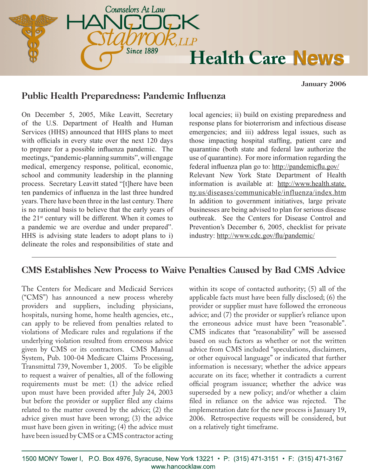

**January 2006**

### **Public Health Preparedness: Pandemic Influenza**

On December 5, 2005, Mike Leavitt, Secretary of the U.S. Department of Health and Human Services (HHS) announced that HHS plans to meet with officials in every state over the next 120 days to prepare for a possible influenza pandemic. The meetings, "pandemic-planning summits", will engage medical, emergency response, political, economic, school and community leadership in the planning process. Secretary Leavitt stated "[t]here have been ten pandemics of influenza in the last three hundred years. There have been three in the last century. There is no rational basis to believe that the early years of the 21st century will be different. When it comes to a pandemic we are overdue and under prepared". HHS is advising state leaders to adopt plans to i) delineate the roles and responsibilities of state and

local agencies; ii) build on existing preparedness and response plans for bioterrorism and infectious disease emergencies; and iii) address legal issues, such as those impacting hospital staffing, patient care and quarantine (both state and federal law authorize the use of quarantine). For more information regarding the federal influenza plan go to: http://pandemicflu.gov/ Relevant New York State Department of Health information is available at: http://www.health.state. ny.us/diseases/communicable/influenza/index.htm In addition to government initiatives, large private businesses are being advised to plan for serious disease outbreak. See the Centers for Disease Control and Prevention's December 6, 2005, checklist for private industry: http://www.cdc.gov/flu/pandemic/

# **CMS Establishes New Process to Waive Penalties Caused by Bad CMS Advice**

The Centers for Medicare and Medicaid Services ("CMS") has announced a new process whereby providers and suppliers, including physicians, hospitals, nursing home, home health agencies, etc., can apply to be relieved from penalties related to violations of Medicare rules and regulations if the underlying violation resulted from erroneous advice given by CMS or its contractors. CMS Manual System, Pub. 100-04 Medicare Claims Processing, Transmittal 739, November 1, 2005. To be eligible to request a waiver of penalties, all of the following requirements must be met: (1) the advice relied upon must have been provided after July 24, 2003 but before the provider or supplier filed any claims related to the matter covered by the advice; (2) the advice given must have been wrong; (3) the advice must have been given in writing; (4) the advice must have been issued by CMS or a CMS contractor acting within its scope of contacted authority; (5) all of the applicable facts must have been fully disclosed; (6) the provider or supplier must have followed the erroneous advice; and (7) the provider or supplier's reliance upon the erroneous advice must have been "reasonable". CMS indicates that "reasonability" will be assessed based on such factors as whether or not the written advice from CMS included "speculations, disclaimers, or other equivocal language" or indicated that further information is necessary; whether the advice appears accurate on its face; whether it contradicts a current official program issuance; whether the advice was superseded by a new policy; and/or whether a claim filed in reliance on the advice was rejected. The implementation date for the new process is January 19, 2006. Retrospective requests will be considered, but on a relatively tight timeframe.